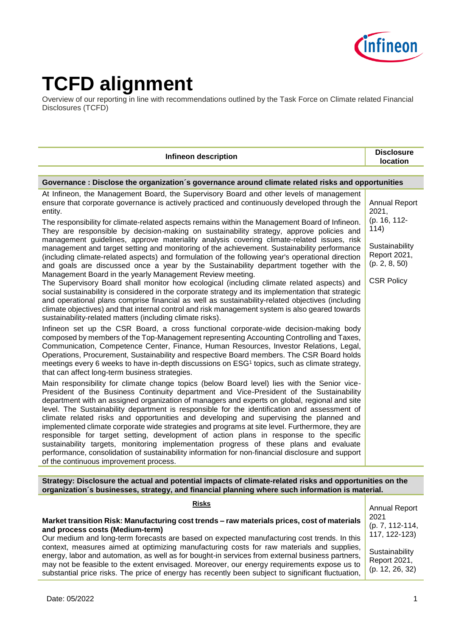

# **TCFD alignment**

Overview of our reporting in line with recommendations outlined by the Task Force on Climate related Financial Disclosures (TCFD)

| <b>Infineon description</b>                                                                                                                                                                                                                                                                                                                                                                                                                                                                                                                                                                                                                                                                                                                                                                                                                                                                                                                                                                                                                                                                                                                                                                                                                                                                                                                                                                                                                                                                                                                                                                                                                                                                                                                                                                                                                                                                                                                                                                                                                                                                                                                                                                                                                                                                                                                                                                                                                                                                                                                                                                                                                                                                                                                                                                      | <b>Disclosure</b><br><b>location</b>                                                                                          |  |
|--------------------------------------------------------------------------------------------------------------------------------------------------------------------------------------------------------------------------------------------------------------------------------------------------------------------------------------------------------------------------------------------------------------------------------------------------------------------------------------------------------------------------------------------------------------------------------------------------------------------------------------------------------------------------------------------------------------------------------------------------------------------------------------------------------------------------------------------------------------------------------------------------------------------------------------------------------------------------------------------------------------------------------------------------------------------------------------------------------------------------------------------------------------------------------------------------------------------------------------------------------------------------------------------------------------------------------------------------------------------------------------------------------------------------------------------------------------------------------------------------------------------------------------------------------------------------------------------------------------------------------------------------------------------------------------------------------------------------------------------------------------------------------------------------------------------------------------------------------------------------------------------------------------------------------------------------------------------------------------------------------------------------------------------------------------------------------------------------------------------------------------------------------------------------------------------------------------------------------------------------------------------------------------------------------------------------------------------------------------------------------------------------------------------------------------------------------------------------------------------------------------------------------------------------------------------------------------------------------------------------------------------------------------------------------------------------------------------------------------------------------------------------------------------------|-------------------------------------------------------------------------------------------------------------------------------|--|
|                                                                                                                                                                                                                                                                                                                                                                                                                                                                                                                                                                                                                                                                                                                                                                                                                                                                                                                                                                                                                                                                                                                                                                                                                                                                                                                                                                                                                                                                                                                                                                                                                                                                                                                                                                                                                                                                                                                                                                                                                                                                                                                                                                                                                                                                                                                                                                                                                                                                                                                                                                                                                                                                                                                                                                                                  |                                                                                                                               |  |
| Governance : Disclose the organization s governance around climate related risks and opportunities                                                                                                                                                                                                                                                                                                                                                                                                                                                                                                                                                                                                                                                                                                                                                                                                                                                                                                                                                                                                                                                                                                                                                                                                                                                                                                                                                                                                                                                                                                                                                                                                                                                                                                                                                                                                                                                                                                                                                                                                                                                                                                                                                                                                                                                                                                                                                                                                                                                                                                                                                                                                                                                                                               |                                                                                                                               |  |
| At Infineon, the Management Board, the Supervisory Board and other levels of management<br>ensure that corporate governance is actively practiced and continuously developed through the<br>entity.<br>The responsibility for climate-related aspects remains within the Management Board of Infineon.<br>They are responsible by decision-making on sustainability strategy, approve policies and<br>management guidelines, approve materiality analysis covering climate-related issues, risk<br>management and target setting and monitoring of the achievement. Sustainability performance<br>(including climate-related aspects) and formulation of the following year's operational direction<br>and goals are discussed once a year by the Sustainability department together with the<br>Management Board in the yearly Management Review meeting.<br>The Supervisory Board shall monitor how ecological (including climate related aspects) and<br>social sustainability is considered in the corporate strategy and its implementation that strategic<br>and operational plans comprise financial as well as sustainability-related objectives (including<br>climate objectives) and that internal control and risk management system is also geared towards<br>sustainability-related matters (including climate risks).<br>Infineon set up the CSR Board, a cross functional corporate-wide decision-making body<br>composed by members of the Top-Management representing Accounting Controlling and Taxes,<br>Communication, Competence Center, Finance, Human Resources, Investor Relations, Legal,<br>Operations, Procurement, Sustainability and respective Board members. The CSR Board holds<br>meetings every 6 weeks to have in-depth discussions on ESG1 topics, such as climate strategy,<br>that can affect long-term business strategies.<br>Main responsibility for climate change topics (below Board level) lies with the Senior vice-<br>President of the Business Continuity department and Vice-President of the Sustainability<br>department with an assigned organization of managers and experts on global, regional and site<br>level. The Sustainability department is responsible for the identification and assessment of<br>climate related risks and opportunities and developing and supervising the planned and<br>implemented climate corporate wide strategies and programs at site level. Furthermore, they are<br>responsible for target setting, development of action plans in response to the specific<br>sustainability targets, monitoring implementation progress of these plans and evaluate<br>performance, consolidation of sustainability information for non-financial disclosure and support<br>of the continuous improvement process. | <b>Annual Report</b><br>2021,<br>(p. 16, 112-<br>114)<br>Sustainability<br>Report 2021,<br>(p. 2, 8, 50)<br><b>CSR Policy</b> |  |
| Strategy: Disclosure the actual and potential impacts of climate-related risks and opportunities on the<br>organization s businesses, strategy, and financial planning where such information is material.                                                                                                                                                                                                                                                                                                                                                                                                                                                                                                                                                                                                                                                                                                                                                                                                                                                                                                                                                                                                                                                                                                                                                                                                                                                                                                                                                                                                                                                                                                                                                                                                                                                                                                                                                                                                                                                                                                                                                                                                                                                                                                                                                                                                                                                                                                                                                                                                                                                                                                                                                                                       |                                                                                                                               |  |

# **Risks**

#### **Market transition Risk: Manufacturing cost trends – raw materials prices, cost of materials and process costs (Medium-term)**

Our medium and long-term forecasts are based on expected manufacturing cost trends. In this context, measures aimed at optimizing manufacturing costs for raw materials and supplies, energy, labor and automation, as well as for bought-in services from external business partners, may not be feasible to the extent envisaged. Moreover, our energy requirements expose us to substantial price risks. The price of energy has recently been subject to significant fluctuation,

Annual Report 2021 (p. 7, 112-114, 117, 122-123)

**Sustainability** Report 2021, (p. 12, 26, 32)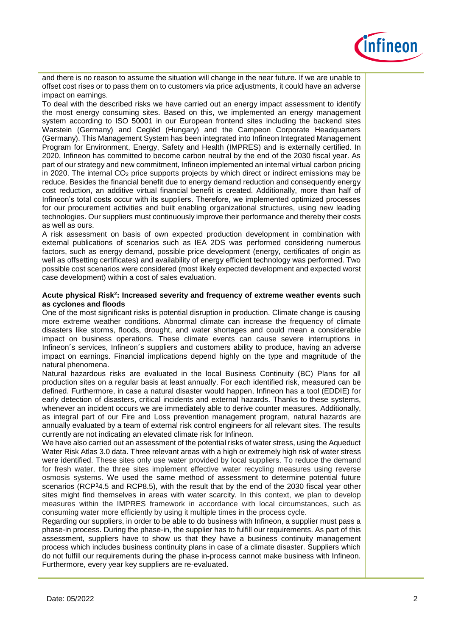

and there is no reason to assume the situation will change in the near future. If we are unable to offset cost rises or to pass them on to customers via price adjustments, it could have an adverse impact on earnings.

To deal with the described risks we have carried out an energy impact assessment to identify the most energy consuming sites. Based on this, we implemented an energy management system according to ISO 50001 in our European frontend sites including the backend sites Warstein (Germany) and Cegléd (Hungary) and the Campeon Corporate Headquarters (Germany). This Management System has been integrated into Infineon Integrated Management Program for Environment, Energy, Safety and Health (IMPRES) and is externally certified. In 2020, Infineon has committed to become carbon neutral by the end of the 2030 fiscal year. As part of our strategy and new commitment, Infineon implemented an internal virtual carbon pricing in 2020. The internal CO<sub>2</sub> price supports projects by which direct or indirect emissions may be reduce. Besides the financial benefit due to energy demand reduction and consequently energy cost reduction, an additive virtual financial benefit is created. Additionally, more than half of Infineon's total costs occur with its suppliers. Therefore, we implemented optimized processes for our procurement activities and built enabling organizational structures, using new leading technologies. Our suppliers must continuously improve their performance and thereby their costs as well as ours.

A risk assessment on basis of own expected production development in combination with external publications of scenarios such as IEA 2DS was performed considering numerous factors, such as energy demand, possible price development (energy, certificates of origin as well as offsetting certificates) and availability of energy efficient technology was performed. Two possible cost scenarios were considered (most likely expected development and expected worst case development) within a cost of sales evaluation.

#### **Acute physical Risk<sup>2</sup> : Increased severity and frequency of extreme weather events such as cyclones and floods**

One of the most significant risks is potential disruption in production. Climate change is causing more extreme weather conditions. Abnormal climate can increase the frequency of climate disasters like storms, floods, drought, and water shortages and could mean a considerable impact on business operations. These climate events can cause severe interruptions in Infineon´s services, Infineon´s suppliers and customers ability to produce, having an adverse impact on earnings. Financial implications depend highly on the type and magnitude of the natural phenomena.

Natural hazardous risks are evaluated in the local Business Continuity (BC) Plans for all production sites on a regular basis at least annually. For each identified risk, measured can be defined. Furthermore, in case a natural disaster would happen, Infineon has a tool (EDDIE) for early detection of disasters, critical incidents and external hazards. Thanks to these systems, whenever an incident occurs we are immediately able to derive counter measures. Additionally, as integral part of our Fire and Loss prevention management program, natural hazards are annually evaluated by a team of external risk control engineers for all relevant sites. The results currently are not indicating an elevated climate risk for Infineon.

We have also carried out an assessment of the potential risks of water stress, using the Aqueduct Water Risk Atlas 3.0 data. Three relevant areas with a high or extremely high risk of water stress were identified. These sites only use water provided by local suppliers. To reduce the demand for fresh water, the three sites implement effective water recycling measures using reverse osmosis systems. We used the same method of assessment to determine potential future scenarios (RCP<sup>3</sup>4.5 and RCP8.5), with the result that by the end of the 2030 fiscal year other sites might find themselves in areas with water scarcity. In this context, we plan to develop measures within the IMPRES framework in accordance with local circumstances, such as consuming water more efficiently by using it multiple times in the process cycle.

Regarding our suppliers, in order to be able to do business with Infineon, a supplier must pass a phase-in process. During the phase-in, the supplier has to fulfill our requirements. As part of this assessment, suppliers have to show us that they have a business continuity management process which includes business continuity plans in case of a climate disaster. Suppliers which do not fulfill our requirements during the phase in-process cannot make business with Infineon. Furthermore, every year key suppliers are re-evaluated.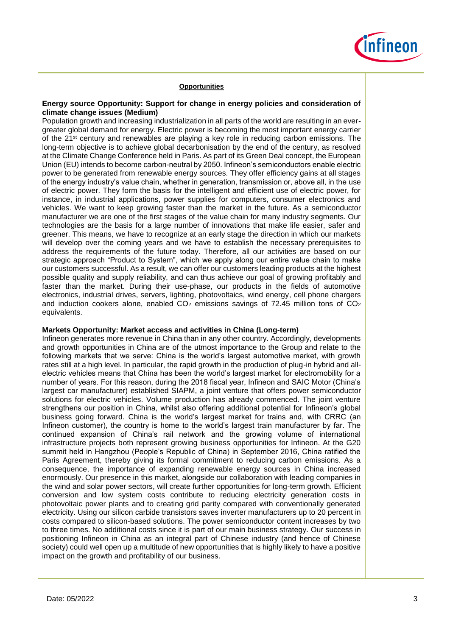

#### **Opportunities**

## **Energy source Opportunity: Support for change in energy policies and consideration of climate change issues (Medium)**

Population growth and increasing industrialization in all parts of the world are resulting in an evergreater global demand for energy. Electric power is becoming the most important energy carrier of the 21st century and renewables are playing a key role in reducing carbon emissions. The long-term objective is to achieve global decarbonisation by the end of the century, as resolved at the Climate Change Conference held in Paris. As part of its Green Deal concept, the European Union (EU) intends to become carbon-neutral by 2050. Infineon's semiconductors enable electric power to be generated from renewable energy sources. They offer efficiency gains at all stages of the energy industry's value chain, whether in generation, transmission or, above all, in the use of electric power. They form the basis for the intelligent and efficient use of electric power, for instance, in industrial applications, power supplies for computers, consumer electronics and vehicles. We want to keep growing faster than the market in the future. As a semiconductor manufacturer we are one of the first stages of the value chain for many industry segments. Our technologies are the basis for a large number of innovations that make life easier, safer and greener. This means, we have to recognize at an early stage the direction in which our markets will develop over the coming years and we have to establish the necessary prerequisites to address the requirements of the future today. Therefore, all our activities are based on our strategic approach "Product to System", which we apply along our entire value chain to make our customers successful. As a result, we can offer our customers leading products at the highest possible quality and supply reliability, and can thus achieve our goal of growing profitably and faster than the market. During their use-phase, our products in the fields of automotive electronics, industrial drives, servers, lighting, photovoltaics, wind energy, cell phone chargers and induction cookers alone, enabled  $CO<sub>2</sub>$  emissions savings of 72.45 million tons of  $CO<sub>2</sub>$ equivalents.

## **Markets Opportunity: Market access and activities in China (Long-term)**

Infineon generates more revenue in China than in any other country. Accordingly, developments and growth opportunities in China are of the utmost importance to the Group and relate to the following markets that we serve: China is the world's largest automotive market, with growth rates still at a high level. In particular, the rapid growth in the production of plug-in hybrid and allelectric vehicles means that China has been the world's largest market for electromobility for a number of years. For this reason, during the 2018 fiscal year, Infineon and SAIC Motor (China's largest car manufacturer) established SIAPM, a joint venture that offers power semiconductor solutions for electric vehicles. Volume production has already commenced. The joint venture strengthens our position in China, whilst also offering additional potential for Infineon's global business going forward. China is the world's largest market for trains and, with CRRC (an Infineon customer), the country is home to the world's largest train manufacturer by far. The continued expansion of China's rail network and the growing volume of international infrastructure projects both represent growing business opportunities for Infineon. At the G20 summit held in Hangzhou (People's Republic of China) in September 2016, China ratified the Paris Agreement, thereby giving its formal commitment to reducing carbon emissions. As a consequence, the importance of expanding renewable energy sources in China increased enormously. Our presence in this market, alongside our collaboration with leading companies in the wind and solar power sectors, will create further opportunities for long-term growth. Efficient conversion and low system costs contribute to reducing electricity generation costs in photovoltaic power plants and to creating grid parity compared with conventionally generated electricity. Using our silicon carbide transistors saves inverter manufacturers up to 20 percent in costs compared to silicon-based solutions. The power semiconductor content increases by two to three times. No additional costs since it is part of our main business strategy. Our success in positioning Infineon in China as an integral part of Chinese industry (and hence of Chinese society) could well open up a multitude of new opportunities that is highly likely to have a positive impact on the growth and profitability of our business.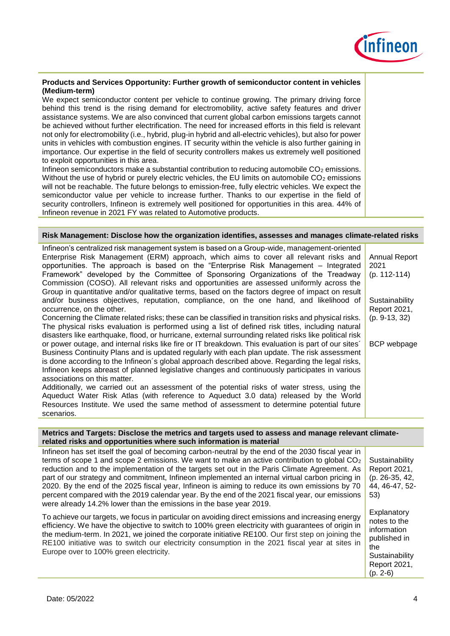

# **Products and Services Opportunity: Further growth of semiconductor content in vehicles (Medium-term)**

We expect semiconductor content per vehicle to continue growing. The primary driving force behind this trend is the rising demand for electromobility, active safety features and driver assistance systems. We are also convinced that current global carbon emissions targets cannot be achieved without further electrification. The need for increased efforts in this field is relevant not only for electromobility (i.e., hybrid, plug-in hybrid and all-electric vehicles), but also for power units in vehicles with combustion engines. IT security within the vehicle is also further gaining in importance. Our expertise in the field of security controllers makes us extremely well positioned to exploit opportunities in this area.

Infineon semiconductors make a substantial contribution to reducing automobile CO<sub>2</sub> emissions. Without the use of hybrid or purely electric vehicles, the EU limits on automobile  $CO<sub>2</sub>$  emissions will not be reachable. The future belongs to emission-free, fully electric vehicles. We expect the semiconductor value per vehicle to increase further. Thanks to our expertise in the field of security controllers, Infineon is extremely well positioned for opportunities in this area. 44% of Infineon revenue in 2021 FY was related to Automotive products.

#### **Risk Management: Disclose how the organization identifies, assesses and manages climate-related risks**

| Infineon's centralized risk management system is based on a Group-wide, management-oriented<br>Enterprise Risk Management (ERM) approach, which aims to cover all relevant risks and | Annual Report   |
|--------------------------------------------------------------------------------------------------------------------------------------------------------------------------------------|-----------------|
| opportunities. The approach is based on the "Enterprise Risk Management – Integrated                                                                                                 | 2021            |
| Framework" developed by the Committee of Sponsoring Organizations of the Treadway                                                                                                    | $(p. 112-114)$  |
| Commission (COSO). All relevant risks and opportunities are assessed uniformly across the                                                                                            |                 |
| Group in quantitative and/or qualitative terms, based on the factors degree of impact on result                                                                                      |                 |
| and/or business objectives, reputation, compliance, on the one hand, and likelihood of                                                                                               | Sustainability  |
| occurrence, on the other.                                                                                                                                                            | Report 2021,    |
| Concerning the Climate related risks; these can be classified in transition risks and physical risks.                                                                                | $(p. 9-13, 32)$ |
| The physical risks evaluation is performed using a list of defined risk titles, including natural                                                                                    |                 |
| disasters like earthquake, flood, or hurricane, external surrounding related risks like political risk                                                                               |                 |
| or power outage, and internal risks like fire or IT breakdown. This evaluation is part of our sites'                                                                                 | BCP webpage     |
| Business Continuity Plans and is updated regularly with each plan update. The risk assessment                                                                                        |                 |
| is done according to the Infineon's global approach described above. Regarding the legal risks,                                                                                      |                 |
| Infineon keeps abreast of planned legislative changes and continuously participates in various                                                                                       |                 |
| associations on this matter.                                                                                                                                                         |                 |
| Additionally, we carried out an assessment of the potential risks of water stress, using the                                                                                         |                 |
| Aqueduct Water Risk Atlas (with reference to Aqueduct 3.0 data) released by the World                                                                                                |                 |
| Resources Institute. We used the same method of assessment to determine potential future                                                                                             |                 |
| scenarios.                                                                                                                                                                           |                 |

#### **Metrics and Targets: Disclose the metrics and targets used to assess and manage relevant climaterelated risks and opportunities where such information is material**

Infineon has set itself the goal of becoming carbon-neutral by the end of the 2030 fiscal year in terms of scope 1 and scope 2 emissions. We want to make an active contribution to global  $CO<sub>2</sub>$ reduction and to the implementation of the targets set out in the Paris Climate Agreement. As part of our strategy and commitment, Infineon implemented an internal virtual carbon pricing in 2020. By the end of the 2025 fiscal year, Infineon is aiming to reduce its own emissions by 70 percent compared with the 2019 calendar year. By the end of the 2021 fiscal year, our emissions were already 14.2% lower than the emissions in the base year 2019.

To achieve our targets, we focus in particular on avoiding direct emissions and increasing energy efficiency. We have the objective to switch to 100% green electricity with guarantees of origin in the medium-term. In 2021, we joined the corporate initiative RE100. Our first step on joining the RE100 initiative was to switch our electricity consumption in the 2021 fiscal year at sites in Europe over to 100% green electricity.

**Sustainability** Report 2021, (p. 26-35, 42, 44, 46-47, 52- 53)

**Explanatory** notes to the information published in the **Sustainability** Report 2021, (p. 2-6)